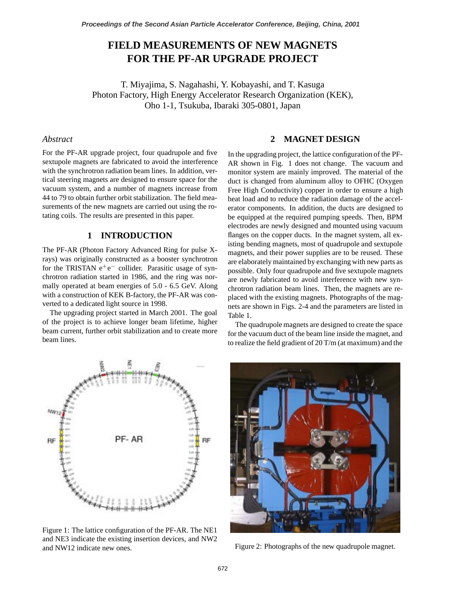# **FIELD MEASUREMENTS OF NEW MAGNETS FOR THE PF-AR UPGRADE PROJECT**

T. Miyajima, S. Nagahashi, Y. Kobayashi, and T. Kasuga Photon Factory, High Energy Accelerator Research Organization (KEK), Oho 1-1, Tsukuba, Ibaraki 305-0801, Japan

# *Abstract*

For the PF-AR upgrade project, four quadrupole and five sextupole magnets are fabricated to avoid the interference with the synchrotron radiation beam lines. In addition, vertical steering magnets are designed to ensure space for the vacuum system, and a number of magnets increase from 44 to 79 to obtain further orbit stabilization. The field measurements of the new magnets are carried out using the rotating coils. The results are presented in this paper.

# **1 INTRODUCTION**

The PF-AR (Photon Factory Advanced Ring for pulse Xrays) was originally constructed as a booster synchrotron for the TRISTAN e<sup>+</sup>e<sup>−</sup> collider. Parasitic usage of synchrotron radiation started in 1986, and the ring was normally operated at beam energies of 5.0 - 6.5 GeV. Along with a construction of KEK B-factory, the PF-AR was converted to a dedicated light source in 1998.

The upgrading project started in March 2001. The goal of the project is to achieve longer beam lifetime, higher beam current, further orbit stabilization and to create more beam lines.

#### **2 MAGNET DESIGN**

In the upgrading project, the lattice configuration of the PF-AR shown in Fig. 1 does not change. The vacuum and monitor system are mainly improved. The material of the duct is changed from aluminum alloy to OFHC (Oxygen Free High Conductivity) copper in order to ensure a high heat load and to reduce the radiation damage of the accelerator components. In addition, the ducts are designed to be equipped at the required pumping speeds. Then, BPM electrodes are newly designed and mounted using vacuum flanges on the copper ducts. In the magnet system, all existing bending magnets, most of quadrupole and sextupole magnets, and their power supplies are to be reused. These are elaborately maintained by exchanging with new parts as possible. Only four quadrupole and five sextupole magnets are newly fabricated to avoid interference with new synchrotron radiation beam lines. Then, the magnets are replaced with the existing magnets. Photographs of the magnets are shown in Figs. 2-4 and the parameters are listed in Table 1.

The quadrupole magnets are designed to create the space for the vacuum duct of the beam line inside the magnet, and to realize the field gradient of 20 T/m (at maximum) and the



Figure 1: The lattice configuration of the PF-AR. The NE1 and NE3 indicate the existing insertion devices, and NW2 and NW12 indicate new ones.



Figure 2: Photographs of the new quadrupole magnet.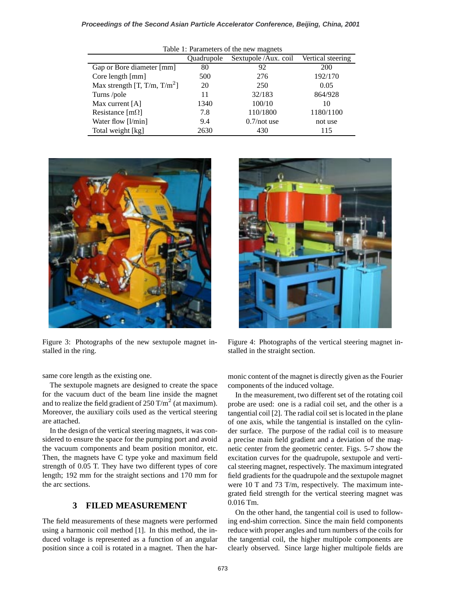#### **Proceedings of the Second Asian Particle Accelerator Conference, Beijing, China, 2001**

| Table 1: Parameters of the new magnets   |                          |                      |                   |
|------------------------------------------|--------------------------|----------------------|-------------------|
|                                          | <i><b>Ouadrupole</b></i> | Sextupole /Aux. coil | Vertical steering |
| Gap or Bore diameter [mm]                | 80                       | 92                   | 200               |
| Core length [mm]                         | 500                      | 276                  | 192/170           |
| Max strength [T, T/m, T/m <sup>2</sup> ] | 20                       | 250                  | 0.05              |
| Turns/pole                               | 11                       | 32/183               | 864/928           |
| Max current $[A]$                        | 1340                     | 100/10               | 10                |
| Resistance $[m\Omega]$                   | 7.8                      | 110/1800             | 1180/1100         |
| Water flow [l/min]                       | 9.4                      | $0.7$ /not use       | not use           |
| Total weight [kg]                        | 2630                     | 430                  | 115               |



Figure 3: Photographs of the new sextupole magnet installed in the ring.



The sextupole magnets are designed to create the space for the vacuum duct of the beam line inside the magnet and to realize the field gradient of  $250 \text{ T/m}^2$  (at maximum). Moreover, the auxiliary coils used as the vertical steering are attached.

In the design of the vertical steering magnets, it was considered to ensure the space for the pumping port and avoid the vacuum components and beam position monitor, etc. Then, the magnets have C type yoke and maximum field strength of 0.05 T. They have two different types of core length; 192 mm for the straight sections and 170 mm for the arc sections.

# **3 FILED MEASUREMENT**

The field measurements of these magnets were performed using a harmonic coil method [1]. In this method, the induced voltage is represented as a function of an angular position since a coil is rotated in a magnet. Then the har-



Figure 4: Photographs of the vertical steering magnet installed in the straight section.

monic content of the magnet is directly given as the Fourier components of the induced voltage.

In the measurement, two different set of the rotating coil probe are used: one is a radial coil set, and the other is a tangential coil [2]. The radial coil set is located in the plane of one axis, while the tangential is installed on the cylinder surface. The purpose of the radial coil is to measure a precise main field gradient and a deviation of the magnetic center from the geometric center. Figs. 5-7 show the excitation curves for the quadrupole, sextupole and vertical steering magnet, respectively. The maximum integrated field gradients for the quadrupole and the sextupole magnet were 10 T and 73 T/m, respectively. The maximum integrated field strength for the vertical steering magnet was 0.016 Tm.

On the other hand, the tangential coil is used to following end-shim correction. Since the main field components reduce with proper angles and turn numbers of the coils for the tangential coil, the higher multipole components are clearly observed. Since large higher multipole fields are